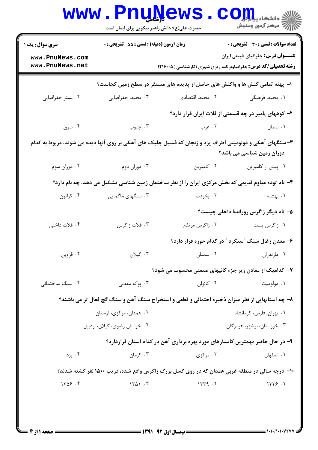| <b>سری سوال :</b> یک ۱             | زمان آزمون (دقیقه) : تستی : 55 آتشریحی : 0 |                                                                                                          | <b>تعداد سوالات : تستی : 30 ٪ تشریحی : 0</b>         |
|------------------------------------|--------------------------------------------|----------------------------------------------------------------------------------------------------------|------------------------------------------------------|
| www.PnuNews.com<br>www.PnuNews.net |                                            | <b>رشته تحصیلی/کد درس:</b> جغرافیاوبرنامه ریزی شهری (کارشناسی ) ۱۲۱۶۰۰۵                                  | عنـــوان درس: جغرافیای طبیعی ایران                   |
|                                    |                                            | ا– پهنه تمامی کنش ها و واکنش های حاصل از پدیده های مستقر در سطح زمین کجاست؟                              |                                                      |
| ۰۴ بستر جغرافیایی                  | ۰۳ محیط جغرافیایی                          | ۰۲ محیط اقتصادی                                                                                          | ١. محيط فرهنگي                                       |
|                                    |                                            |                                                                                                          | ۲- کوههای پامیر در چه قسمتی از فلات ایران قرار دارد؟ |
| ۰۴ شرق                             | ۰۳ جنوب                                    | ۰۲ غرب                                                                                                   | ۰۱ شمال                                              |
|                                    |                                            | ۳-سنگهای آهکی و دولومیتی اطراف یزد و زنجان که فسیل جلبک های آهکی بر روی آنها دیده می شوند، مربوط به کدام | دوران زمین شناسی می باشد؟                            |
| ۰۴ دوران سوم                       | ۰۳ دوران دوم                               | ۰۲ کامبرین                                                                                               | ٠١. پيش از كامبرين                                   |
|                                    |                                            | ۴- نام توده مقاوم قدیمی که بخش مرکزی ایران را از نظر ساختمان زمین شناسی تشکیل می دهد، چه نام دارد؟       |                                                      |
| ۰۴ کراتون                          | ۰۳ سنگهای ماگمایی                          | ۰۲ يخرفت                                                                                                 | ۰۱ نهشته                                             |
|                                    |                                            |                                                                                                          | ۵– نام دیگر زاگرس روراندهٔ داخلی چیست؟               |
| ۰۴ فلات داخلی                      | ۰۳ فلات زاگرس                              | ۰۲ زاگرس مرتفع                                                                                           | ۰۱ زاگرس پست                                         |
|                                    |                                            |                                                                                                          | ۶– معدن زغال سنگ "سنگرد " در کدام حوزه قرار دارد؟    |
| ۰۴ قزوين                           | ۰۳ گیلان                                   | ۰۲ سمنان                                                                                                 | ۰۱ مازندران                                          |
|                                    |                                            | ۷- کدامیک از معادن زیر جزء کانیهای صنعتی محسوب می شود؟                                                   |                                                      |
| ۰۴ سنگ ساختمانی                    | ۰۳ يوکه معدني                              | ۰۲ کائولن                                                                                                | ۰۱ دولوميت                                           |
|                                    |                                            | ۸- چه استانهایی از نظر میزان ذخیره احتمالی و قطعی و استخراج سنگ آهن و سنگ گچ فعال تر می باشند؟           |                                                      |
| ۰۲ همدان، مرکزی، لرستان            |                                            |                                                                                                          | ۰۱ تهران، فارس، کرمانشاه                             |
|                                    | ۰۴ خراسان رضوي، گيلان، اردبيل              |                                                                                                          | ۰۳ خوزستان، بوشهر، هرمزگان                           |
|                                    |                                            | ۹- در حال حاضر مهمترین کانسارهای مورد بهره برداری آهن در کدام استان قراردارد؟                            |                                                      |
| ۰۴ يزد                             | ۰۳ کرمان                                   | ۰۲ مرکزی                                                                                                 | ٠١. اصفهان                                           |
|                                    |                                            | ۱۰- درچه سالی در منطقه غربی همدان که در روی گسل بزرگ زاگرس واقع شده، قریب ۱۵۰۰ نفر گشته شدند؟            |                                                      |
| 1409.9                             | 1401.7                                     | 1579.7                                                                                                   | 1779.1                                               |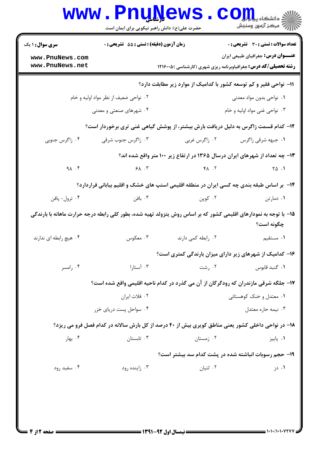|                                    | www.PnuNews<br>حضرت علی(ع): دانش راهبر نیکویی برای ایمان است |                    | الله دانشگاه پیارالی<br>الله مرکز آزمون وسنجش                                                                                  |
|------------------------------------|--------------------------------------------------------------|--------------------|--------------------------------------------------------------------------------------------------------------------------------|
| <b>سری سوال : ۱ یک</b>             | زمان آزمون (دقیقه) : تستی : 55 آتشریحی : 0                   |                    | <b>تعداد سوالات : تستی : 30 ٪ تشریحی : 0</b>                                                                                   |
| www.PnuNews.com<br>www.PnuNews.net |                                                              |                    | <b>عنـــوان درس:</b> جغرافیای طبیعی ایران<br><b>رشته تحصیلی/کد درس:</b> جغرافیاوبرنامه ریزی شهری (کارشناسی ) ۱۲۱۶۰۰۵           |
|                                    |                                                              |                    | 11- نواحی فقیر و کم توسعه کشور با کدامیک از موارد زیر مطابقت دارد؟                                                             |
|                                    | ۰۲ نواحی ضعیف از نظر مواد اولیه و خام                        |                    | ۰۱ نواحی بدون مواد معدنی                                                                                                       |
|                                    | ۰۴ شهرهای صنعتی و معدنی                                      |                    | ۰۳ نواحی غنی مواد اولیه و خام                                                                                                  |
|                                    |                                                              |                    | ۱۲– کدام قسمت زاگرس به دلیل دریافت بارش بیشتر، از پوشش گیاهی غنی تری برخوردار است؟                                             |
| ۰۴ زاگرس جنوبی                     | ۰۳ زاگرس جنوب شرقی                                           | ۰۲ زاگرس غربی      | ٠١. جبهه شرقي زاگرس                                                                                                            |
|                                    |                                                              |                    | ۱۳- چه تعداد از شهرهای ایران درسال ۱۳۶۵ در ارتفاع زیر ۱۰۰ متر واقع شده اند؟                                                    |
| $9 \wedge . 5$                     | $9\lambda$ . T                                               |                    | $FA \tN$ $A \tN$                                                                                                               |
|                                    |                                                              |                    | ۱۴- بر اساس طبقه بندی چه کسی ایران در منطقه اقلیمی استپ های خشک و اقلیم بیابانی قراردارد؟                                      |
| ۰۴ ترول- پافن                      | ۰۳ بافن                                                      | ۰۲ کوپن            | ۰۱ دمارتن                                                                                                                      |
|                                    |                                                              |                    | ۱۵– با توجه به نمودارهای اقلیمی کشور که بر اساس روش یتزولد تهیه شده، بطور کلی رابطه درجه حرارت ماهانه با بارندگی<br>چگونه است؟ |
| ۰۴ هيچ رابطه اي ندارند             | ۰۳ معکوس                                                     | ۰۲ رابطه کمی دارند | ۰۱ مستقیم                                                                                                                      |
|                                    |                                                              |                    | ۱۶– کدامیک از شهرهای زیر دارای میزان بارندگی کمتری است؟                                                                        |
| ۰۴ رامسر                           | ۰۳ آستارا                                                    | ۰۲ رشت             | ۰۱ گنبد قابوس                                                                                                                  |
|                                    |                                                              |                    | ۱۷– جلگه شرقی مازندران که رودگرگان از آن می گذرد در کدام ناحیه اقلیمی واقع شده است؟                                            |
|                                    | ٠٢ فلات ايران                                                |                    | ۰۱ معتدل و خنک کوهستانی                                                                                                        |
|                                    | ۰۴ سواحل پست دریای خزر                                       |                    | ۰۳ نیمه حاره معتدل                                                                                                             |
|                                    |                                                              |                    | ۱۸- در نواحی داخلی کشور یعنی مناطق کویری بیش از ۴۰ درصد از کل بارش سالانه در کدام فصل فرو می ریزد؟                             |
| ۰۴ بهار                            | ۰۳ تابستان                                                   | ۰۲ زمستان          | ۰۱ پاييز                                                                                                                       |
|                                    |                                                              |                    | ۱۹- حجم رسوبات انباشته شده در پشت کدام سد بیشتر است؟                                                                           |
| ۰۴ سفید رود                        | ۰۳ زاینده رود                                                | ۰۲ لتيان           | ۰۱ دز                                                                                                                          |
|                                    |                                                              |                    |                                                                                                                                |
|                                    |                                                              |                    |                                                                                                                                |
|                                    |                                                              |                    |                                                                                                                                |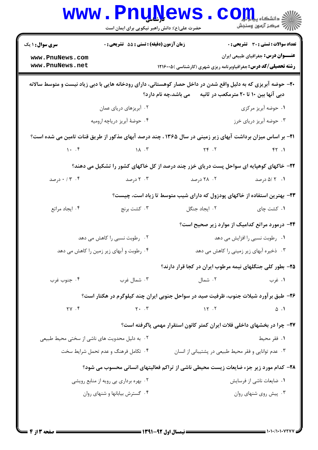| تعداد سوالات : تستي : 30 ٪ تشريحي : 0                  |                                                                                                                                                                              | <b>زمان آزمون (دقیقه) : تستی : 55 تشریحی : 0</b> | <b>سری سوال : ۱ یک</b>                        |  |
|--------------------------------------------------------|------------------------------------------------------------------------------------------------------------------------------------------------------------------------------|--------------------------------------------------|-----------------------------------------------|--|
| <b>عنـــوان درس:</b> جغرافیای طبیعی ایران              |                                                                                                                                                                              |                                                  | www.PnuNews.com                               |  |
|                                                        | <b>رشته تحصیلی/کد درس:</b> جغرافیاوبرنامه ریزی شهری (کارشناسی ) ۱۲۱۶۰۰۵                                                                                                      |                                                  | www.PnuNews.net                               |  |
|                                                        | ۲۰– حوضه آبریزی که به دلیل واقع شدن در داخل حصار کوهستانی، دارای رودخانه هایی با دبی زیاد نیست و متوسط سالانه<br>دبی آنها بین ۱۰ تا ۲۰ مترمکعب در ثانیه مع پاشد،چه نام دارد؟ |                                                  |                                               |  |
| ۰۱ حوضه آبریز مرکزی                                    |                                                                                                                                                                              | ۰۲ آبریزهای دریای عمان                           |                                               |  |
| ۰۳ حوضه آبریز دریای خرز                                |                                                                                                                                                                              | ۰۴ حوضهٔ آبریز دریاچه ارومیه                     |                                               |  |
|                                                        | <b>۲۱</b> - بر اساس میزان برداشت آبهای زیر زمینی در سال ۱۳۶۵ ، چند درصد آبهای مذکور از طریق قنات تامین می شده است؟                                                           |                                                  |                                               |  |
| FT.1                                                   | $Y \in \mathcal{X}$                                                                                                                                                          | 1.7                                              |                                               |  |
|                                                        | ۲۲- خاکهای کوهپایه ای سواحل پست دریای خزر چند درصد از کل خاکهای کشور را تشکیل می دهند؟                                                                                       |                                                  |                                               |  |
| ۰۱ /۵ درصد                                             | ۲. ۲۸ درصد                                                                                                                                                                   | ۰۳ درصد                                          | ۰ / ۳ ، ۲ درصد                                |  |
|                                                        | ۲۳– بهترین استفاده از خاکهای پودزول که دارای شیب متوسط تا زیاد است، چیست؟                                                                                                    |                                                  |                                               |  |
| ۰۱ کشت چای                                             | ۰۲ ایجاد جنگل                                                                                                                                                                | ۰۳ کشت برنج                                      | ۰۴ ایجاد مراتع                                |  |
| <b>۳۴</b> - درمورد مراتع کدامیک از موارد زیر صحیح است؟ |                                                                                                                                                                              |                                                  |                                               |  |
| ۰۱ رطوبت نسبی را افزایش می دهد                         |                                                                                                                                                                              | ۰۲ رطوبت نسبی را کاهش می دهد                     |                                               |  |
| ۰۳ ذخیره آبهای زیر زمینی را کاهش می دهد                |                                                                                                                                                                              |                                                  | ۰۴ رطوبت و آبهای زیر زمین را کاهش می دهد      |  |
|                                                        | ۲۵– بطور کلی جنگلهای نیمه مرطوب ایران در کجا قرار دارند؟                                                                                                                     |                                                  |                                               |  |
| ۰۱ غرب                                                 | ۰۲ شمال                                                                                                                                                                      | ۰۳ شمال غرب                                      | ۰۴ جنوب غرب                                   |  |
|                                                        | ۲۶– طبق بر آورد شیلات جنوب، ظرفیت صید در سواحل جنوبی ایران چند کیلوگرم در هکتار است؟                                                                                         |                                                  |                                               |  |
| $\Delta$ .                                             | 15.7                                                                                                                                                                         | $Y \cdot \cdot \cdot$                            | YY. f                                         |  |
|                                                        | ۲۷– چرا در بخشهای داخلی فلات ایران کمتر کانون استقرار مهمی پاگرفته است؟                                                                                                      |                                                  |                                               |  |
| ۰۱ فقر محیط                                            |                                                                                                                                                                              |                                                  | ۰۲ به دلیل محدویت های ناشی از سختی محیط طبیعی |  |
|                                                        | ۰۳ عدم توانایی و فقر محیط طبیعی در پشتیبانی از انسان                                                                                                                         | ۰۴ تکامل فرهنگ و عدم تحمل شرایط سخت              |                                               |  |
|                                                        | ۲۸- کدام مورد زیر جزء ضایعات زیست محیطی ناشی از تراکم فعالیتهای انسانی محسوب می شود؟                                                                                         |                                                  |                                               |  |
| ۰۱ ضایعات ناشی از فرسایش                               |                                                                                                                                                                              | ۰۲ بهره برداری بی رویه از منابع رویشی            |                                               |  |
| ۰۳ پیش روی شنهای روان                                  |                                                                                                                                                                              | ۰۴ گسترش بیابانها و شنهای روان                   |                                               |  |